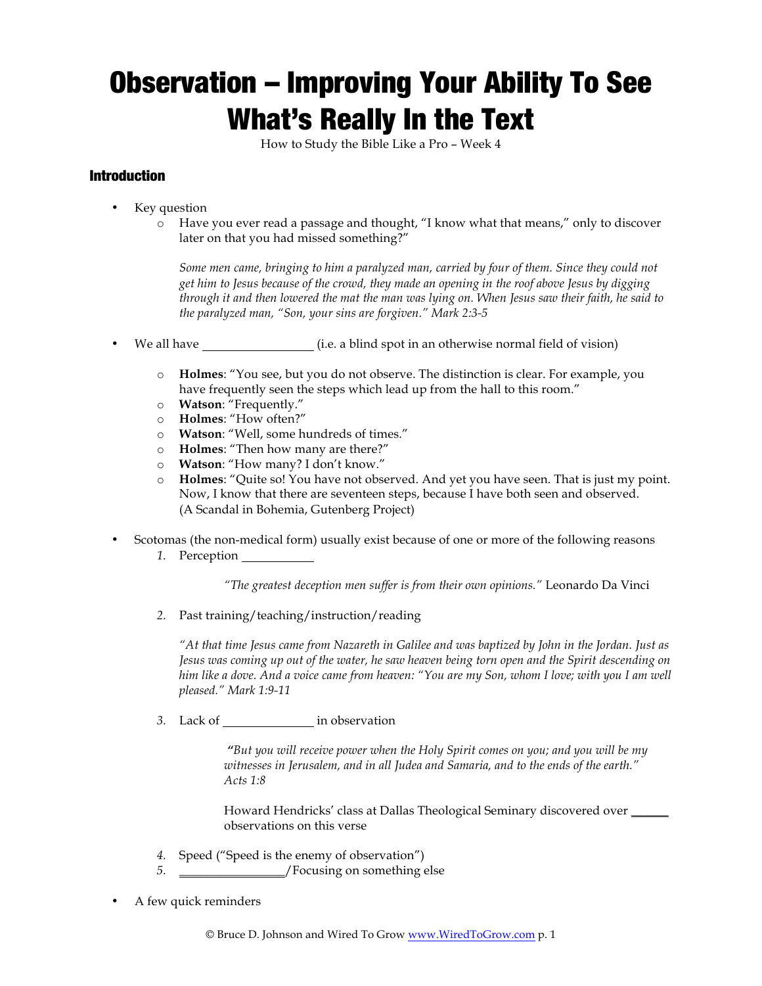# Observation – Improving Your Ability To See What's Really In the Text

How to Study the Bible Like a Pro – Week 4

# Introduction

- Key question
	- o Have you ever read a passage and thought, "I know what that means," only to discover later on that you had missed something?"

*Some men came, bringing to him a paralyzed man, carried by four of them. Since they could not get him to Jesus because of the crowd, they made an opening in the roof above Jesus by digging through it and then lowered the mat the man was lying on. When Jesus saw their faith, he said to the paralyzed man, "Son, your sins are forgiven." Mark 2:3-5*

- We all have  $(i.e. a blind spot in an otherwise normal field of vision)$ 
	- o **Holmes**: "You see, but you do not observe. The distinction is clear. For example, you have frequently seen the steps which lead up from the hall to this room."
	- o **Watson**: "Frequently."
	- o **Holmes**: "How often?"
	- o **Watson**: "Well, some hundreds of times."
	- o **Holmes**: "Then how many are there?"
	- o **Watson**: "How many? I don't know."
	- o **Holmes**: "Quite so! You have not observed. And yet you have seen. That is just my point. Now, I know that there are seventeen steps, because I have both seen and observed. (A Scandal in Bohemia, Gutenberg Project)
- Scotomas (the non-medical form) usually exist because of one or more of the following reasons
	- *1.* Perception

*"The greatest deception men suffer is from their own opinions."* Leonardo Da Vinci

*2.* Past training/teaching/instruction/reading

*"At that time Jesus came from Nazareth in Galilee and was baptized by John in the Jordan. Just as Jesus was coming up out of the water, he saw heaven being torn open and the Spirit descending on him like a dove. And a voice came from heaven: "You are my Son, whom I love; with you I am well pleased." Mark 1:9-11*

*3.* Lack of in observation

*"But you will receive power when the Holy Spirit comes on you; and you will be my witnesses in Jerusalem, and in all Judea and Samaria, and to the ends of the earth." Acts 1:8*

Howard Hendricks' class at Dallas Theological Seminary discovered over \_\_\_\_\_\_\_\_\_ observations on this verse

- *4.* Speed ("Speed is the enemy of observation")
- 5.  $\sqrt{\frac{F}{2}}$  / Focusing on something else
- A few quick reminders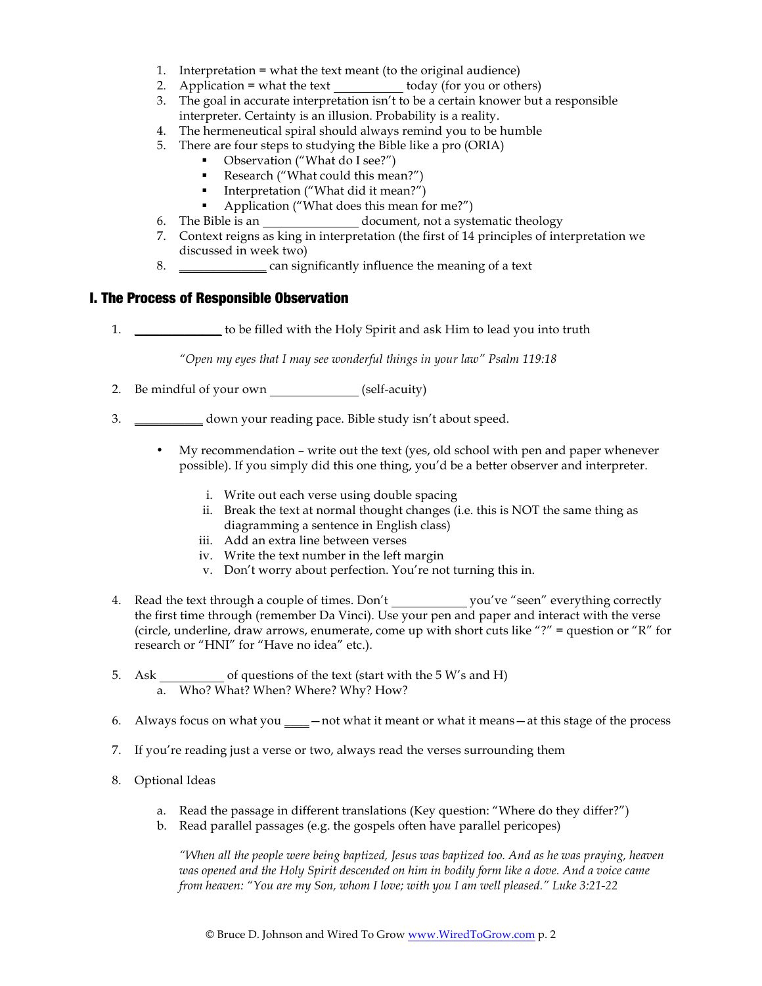- 1. Interpretation = what the text meant (to the original audience)
- 2. Application = what the text  $\qquad \qquad$  today (for you or others)
- 3. The goal in accurate interpretation isn't to be a certain knower but a responsible interpreter. Certainty is an illusion. Probability is a reality.
- 4. The hermeneutical spiral should always remind you to be humble
- 5. There are four steps to studying the Bible like a pro (ORIA)
	- Observation ("What do I see?")
	- Research ("What could this mean?")
	- § Interpretation ("What did it mean?")
	- Application ("What does this mean for me?")
- 6. The Bible is an document, not a systematic theology
- 7. Context reigns as king in interpretation (the first of 14 principles of interpretation we discussed in week two)
- 8. \_\_\_\_\_\_\_\_\_\_\_\_\_\_ can significantly influence the meaning of a text

### I. The Process of Responsible Observation

1. \_\_\_\_\_\_\_\_\_\_\_\_\_\_ to be filled with the Holy Spirit and ask Him to lead you into truth

*"Open my eyes that I may see wonderful things in your law" Psalm 119:18*

- 2. Be mindful of your own (self-acuity)
- 3. \_\_\_\_\_\_\_\_\_\_\_ down your reading pace. Bible study isn't about speed.
	- My recommendation write out the text (yes, old school with pen and paper whenever possible). If you simply did this one thing, you'd be a better observer and interpreter.
		- i. Write out each verse using double spacing
		- ii. Break the text at normal thought changes (i.e. this is NOT the same thing as diagramming a sentence in English class)
		- iii. Add an extra line between verses
		- iv. Write the text number in the left margin
		- v. Don't worry about perfection. You're not turning this in.
- 4. Read the text through a couple of times. Don't you've "seen" everything correctly the first time through (remember Da Vinci). Use your pen and paper and interact with the verse (circle, underline, draw arrows, enumerate, come up with short cuts like "?" = question or "R" for research or "HNI" for "Have no idea" etc.).
- 5. Ask of questions of the text (start with the 5 W's and H) a. Who? What? When? Where? Why? How?
- 6. Always focus on what you \_\_\_\_—not what it meant or what it means—at this stage of the process
- 7. If you're reading just a verse or two, always read the verses surrounding them
- 8. Optional Ideas
	- a. Read the passage in different translations (Key question: "Where do they differ?")
	- b. Read parallel passages (e.g. the gospels often have parallel pericopes)

*"When all the people were being baptized, Jesus was baptized too. And as he was praying, heaven was opened and the Holy Spirit descended on him in bodily form like a dove. And a voice came from heaven: "You are my Son, whom I love; with you I am well pleased." Luke 3:21-22*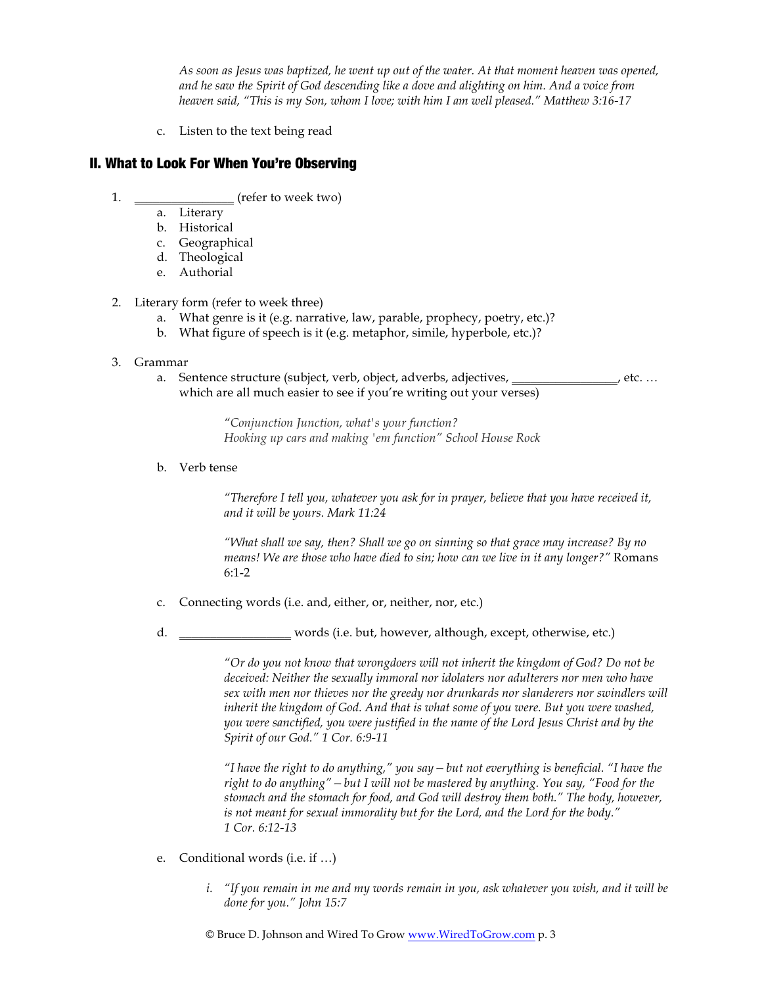*As soon as Jesus was baptized, he went up out of the water. At that moment heaven was opened, and he saw the Spirit of God descending like a dove and alighting on him. And a voice from heaven said, "This is my Son, whom I love; with him I am well pleased." Matthew 3:16-17*

c. Listen to the text being read

## II. What to Look For When You're Observing

- 1. \_\_\_\_\_\_\_\_\_\_\_\_\_\_\_\_\_ (refer to week two)
	- a. Literary
	- b. Historical
	- c. Geographical
	- d. Theological
	- e. Authorial
- 2. Literary form (refer to week three)
	- a. What genre is it (e.g. narrative, law, parable, prophecy, poetry, etc.)?
	- b. What figure of speech is it (e.g. metaphor, simile, hyperbole, etc.)?

#### 3. Grammar

a. Sentence structure (subject, verb, object, adverbs, adjectives, \_\_\_\_\_\_\_\_\_\_\_\_\_\_, etc. ... which are all much easier to see if you're writing out your verses)

> *"Conjunction Junction, what's your function? Hooking up cars and making 'em function" School House Rock*

b. Verb tense

*"Therefore I tell you, whatever you ask for in prayer, believe that you have received it, and it will be yours. Mark 11:24*

*"What shall we say, then? Shall we go on sinning so that grace may increase? By no means! We are those who have died to sin; how can we live in it any longer?"* Romans 6:1-2

- c. Connecting words (i.e. and, either, or, neither, nor, etc.)
- d. \_\_\_\_\_\_\_\_\_\_\_\_\_\_\_\_\_\_ words (i.e. but, however, although, except, otherwise, etc.)

*"Or do you not know that wrongdoers will not inherit the kingdom of God? Do not be deceived: Neither the sexually immoral nor idolaters nor adulterers nor men who have sex with men nor thieves nor the greedy nor drunkards nor slanderers nor swindlers will inherit the kingdom of God. And that is what some of you were. But you were washed, you were sanctified, you were justified in the name of the Lord Jesus Christ and by the Spirit of our God." 1 Cor. 6:9-11*

*"I have the right to do anything," you say—but not everything is beneficial. "I have the right to do anything"—but I will not be mastered by anything. You say, "Food for the stomach and the stomach for food, and God will destroy them both." The body, however, is not meant for sexual immorality but for the Lord, and the Lord for the body." 1 Cor. 6:12-13*

- e. Conditional words (i.e. if …)
	- *i. "If you remain in me and my words remain in you, ask whatever you wish, and it will be done for you." John 15:7*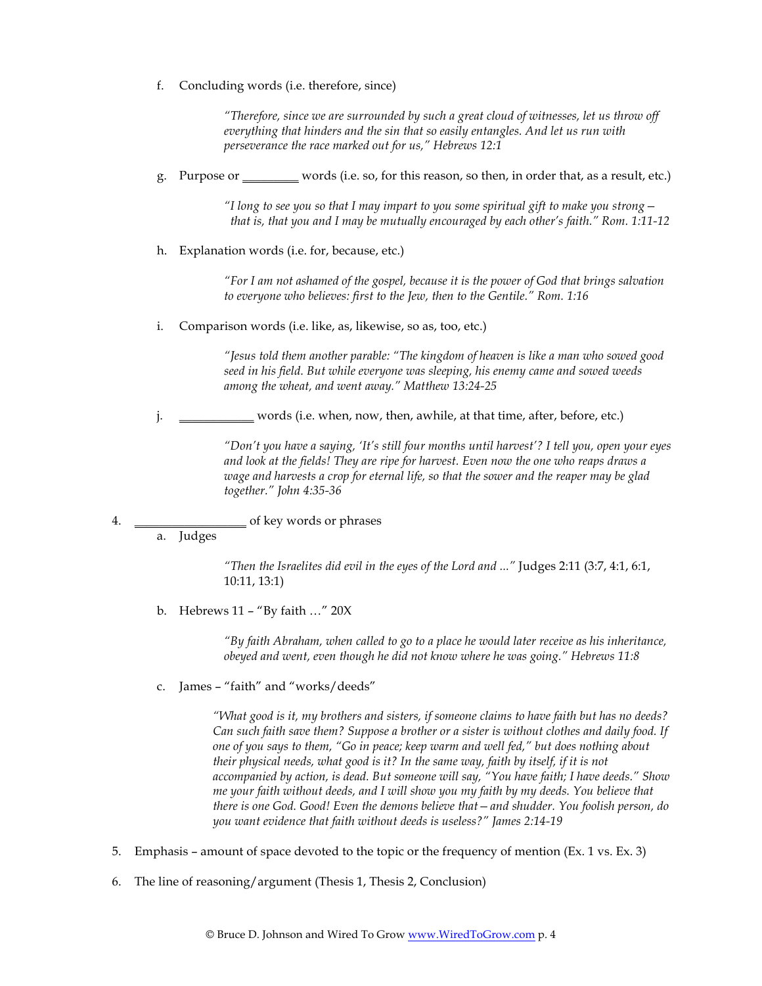f. Concluding words (i.e. therefore, since)

*"Therefore, since we are surrounded by such a great cloud of witnesses, let us throw off everything that hinders and the sin that so easily entangles. And let us run with perseverance the race marked out for us," Hebrews 12:1*

g. Purpose or \_\_\_\_\_\_\_\_\_ words (i.e. so, for this reason, so then, in order that, as a result, etc.)

*"I long to see you so that I may impart to you some spiritual gift to make you strong that is, that you and I may be mutually encouraged by each other's faith." Rom. 1:11-12*

h. Explanation words (i.e. for, because, etc.)

*"For I am not ashamed of the gospel, because it is the power of God that brings salvation to everyone who believes: first to the Jew, then to the Gentile." Rom. 1:16*

i. Comparison words (i.e. like, as, likewise, so as, too, etc.)

*"Jesus told them another parable: "The kingdom of heaven is like a man who sowed good seed in his field. But while everyone was sleeping, his enemy came and sowed weeds among the wheat, and went away." Matthew 13:24-25*

j. \_\_\_\_\_\_\_\_\_\_\_\_\_\_ words (i.e. when, now, then, awhile, at that time, after, before, etc.)

*"Don't you have a saying, 'It's still four months until harvest'? I tell you, open your eyes and look at the fields! They are ripe for harvest. Even now the one who reaps draws a wage and harvests a crop for eternal life, so that the sower and the reaper may be glad together." John 4:35-36*

4. \_\_\_\_\_\_\_\_\_\_\_\_\_\_\_\_\_\_ of key words or phrases

a. Judges

*"Then the Israelites did evil in the eyes of the Lord and ..."* Judges 2:11 (3:7, 4:1, 6:1, 10:11, 13:1)

b. Hebrews 11 – "By faith …" 20X

*"By faith Abraham, when called to go to a place he would later receive as his inheritance, obeyed and went, even though he did not know where he was going." Hebrews 11:8*

c. James – "faith" and "works/deeds"

*"What good is it, my brothers and sisters, if someone claims to have faith but has no deeds? Can such faith save them? Suppose a brother or a sister is without clothes and daily food. If one of you says to them, "Go in peace; keep warm and well fed," but does nothing about their physical needs, what good is it? In the same way, faith by itself, if it is not accompanied by action, is dead. But someone will say, "You have faith; I have deeds." Show me your faith without deeds, and I will show you my faith by my deeds. You believe that there is one God. Good! Even the demons believe that—and shudder. You foolish person, do you want evidence that faith without deeds is useless?" James 2:14-19*

- 5. Emphasis amount of space devoted to the topic or the frequency of mention (Ex. 1 vs. Ex. 3)
- 6. The line of reasoning/argument (Thesis 1, Thesis 2, Conclusion)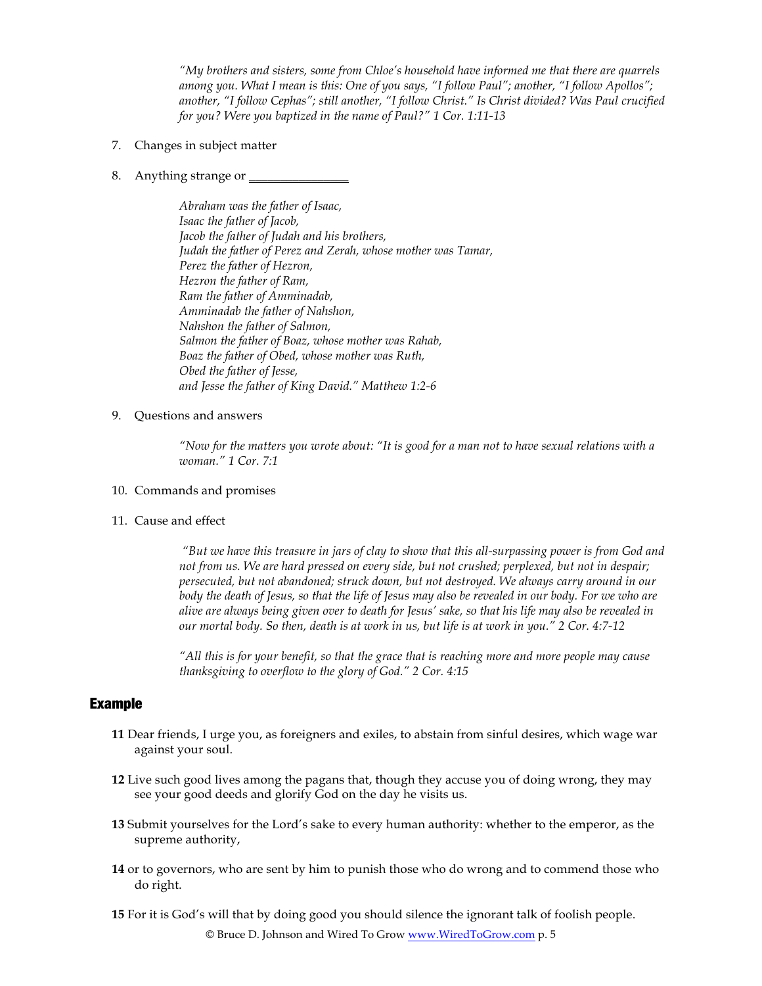*"My brothers and sisters, some from Chloe's household have informed me that there are quarrels among you. What I mean is this: One of you says, "I follow Paul"; another, "I follow Apollos"; another, "I follow Cephas"; still another, "I follow Christ." Is Christ divided? Was Paul crucified for you? Were you baptized in the name of Paul?" 1 Cor. 1:11-13*

- 7. Changes in subject matter
- 8. Anything strange or \_\_\_\_\_\_\_\_\_\_\_\_\_\_\_\_

*Abraham was the father of Isaac, Isaac the father of Jacob, Jacob the father of Judah and his brothers, Judah the father of Perez and Zerah, whose mother was Tamar, Perez the father of Hezron, Hezron the father of Ram, Ram the father of Amminadab, Amminadab the father of Nahshon, Nahshon the father of Salmon, Salmon the father of Boaz, whose mother was Rahab, Boaz the father of Obed, whose mother was Ruth, Obed the father of Jesse, and Jesse the father of King David." Matthew 1:2-6*

#### 9. Questions and answers

*"Now for the matters you wrote about: "It is good for a man not to have sexual relations with a woman." 1 Cor. 7:1*

#### 10. Commands and promises

11. Cause and effect

*"But we have this treasure in jars of clay to show that this all-surpassing power is from God and not from us. We are hard pressed on every side, but not crushed; perplexed, but not in despair; persecuted, but not abandoned; struck down, but not destroyed. We always carry around in our body the death of Jesus, so that the life of Jesus may also be revealed in our body. For we who are alive are always being given over to death for Jesus' sake, so that his life may also be revealed in our mortal body. So then, death is at work in us, but life is at work in you." 2 Cor. 4:7-12*

*"All this is for your benefit, so that the grace that is reaching more and more people may cause thanksgiving to overflow to the glory of God." 2 Cor. 4:15*

## Example

- **11** Dear friends, I urge you, as foreigners and exiles, to abstain from sinful desires, which wage war against your soul.
- **12** Live such good lives among the pagans that, though they accuse you of doing wrong, they may see your good deeds and glorify God on the day he visits us.
- **13** Submit yourselves for the Lord's sake to every human authority: whether to the emperor, as the supreme authority,
- **14** or to governors, who are sent by him to punish those who do wrong and to commend those who do right.
- **15** For it is God's will that by doing good you should silence the ignorant talk of foolish people.

© Bruce D. Johnson and Wired To Grow www.WiredToGrow.com p. 5